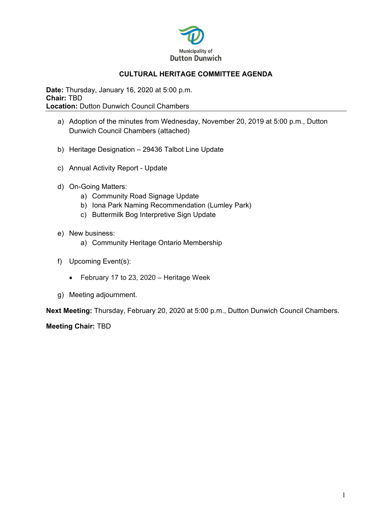

## **CULTURAL HERITAGE COMMITTEE AGENDA**

**Date:** Thursday, January 16, 2020 at 5:00 p.m. **Chair:** TBD **Location: Dutton Dunwich Council Chambers** 

- a) Adoption of the minutes from Wednesday, November 20, 2019 at 5:00 p.m., Dutton Dunwich Council Chambers (attached)
- b) Heritage Designation 29436 Talbot Line Update
- c) Annual Activity Report Update
- d) On-Going Matters:
	- a) Community Road Signage Update
	- b) Iona Park Naming Recommendation (Lumley Park)
	- c) Buttermilk Bog Interpretive Sign Update
- e) New business:
	- a) Community Heritage Ontario Membership
- f) Upcoming Event(s):
	- February 17 to 23, 2020 Heritage Week
- g) Meeting adjournment.

**Next Meeting:** Thursday, February 20, 2020 at 5:00 p.m., Dutton Dunwich Council Chambers.

**Meeting Chair:** TBD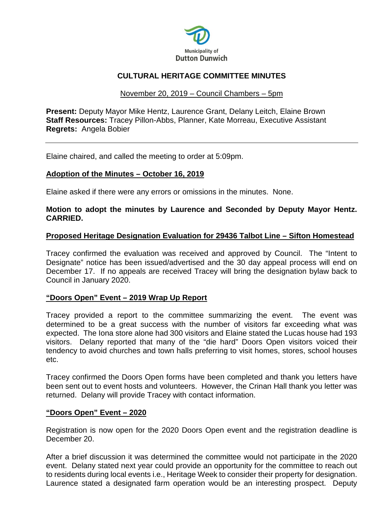

# **CULTURAL HERITAGE COMMITTEE MINUTES**

### November 20, 2019 – Council Chambers – 5pm

**Present:** Deputy Mayor Mike Hentz, Laurence Grant, Delany Leitch, Elaine Brown **Staff Resources:** Tracey Pillon-Abbs, Planner, Kate Morreau, Executive Assistant **Regrets:** Angela Bobier

Elaine chaired, and called the meeting to order at 5:09pm.

# **Adoption of the Minutes – October 16, 2019**

Elaine asked if there were any errors or omissions in the minutes. None.

### **Motion to adopt the minutes by Laurence and Seconded by Deputy Mayor Hentz. CARRIED.**

#### **Proposed Heritage Designation Evaluation for 29436 Talbot Line – Sifton Homestead**

Tracey confirmed the evaluation was received and approved by Council. The "Intent to Designate" notice has been issued/advertised and the 30 day appeal process will end on December 17. If no appeals are received Tracey will bring the designation bylaw back to Council in January 2020.

#### **"Doors Open" Event – 2019 Wrap Up Report**

Tracey provided a report to the committee summarizing the event. The event was determined to be a great success with the number of visitors far exceeding what was expected. The Iona store alone had 300 visitors and Elaine stated the Lucas house had 193 visitors. Delany reported that many of the "die hard" Doors Open visitors voiced their tendency to avoid churches and town halls preferring to visit homes, stores, school houses etc.

Tracey confirmed the Doors Open forms have been completed and thank you letters have been sent out to event hosts and volunteers. However, the Crinan Hall thank you letter was returned. Delany will provide Tracey with contact information.

#### **"Doors Open" Event – 2020**

Registration is now open for the 2020 Doors Open event and the registration deadline is December 20.

After a brief discussion it was determined the committee would not participate in the 2020 event. Delany stated next year could provide an opportunity for the committee to reach out to residents during local events i.e., Heritage Week to consider their property for designation. Laurence stated a designated farm operation would be an interesting prospect. Deputy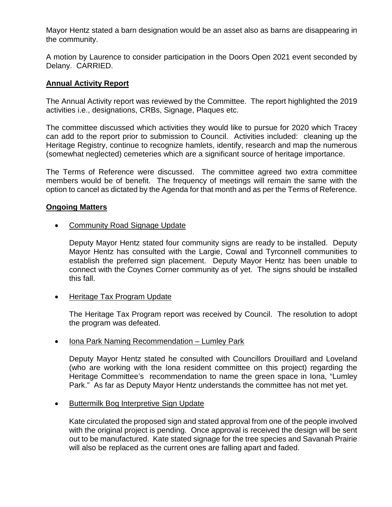Mayor Hentz stated a barn designation would be an asset also as barns are disappearing in the community.

A motion by Laurence to consider participation in the Doors Open 2021 event seconded by Delany. CARRIED.

### **Annual Activity Report**

The Annual Activity report was reviewed by the Committee. The report highlighted the 2019 activities i.e., designations, CRBs, Signage, Plaques etc.

The committee discussed which activities they would like to pursue for 2020 which Tracey can add to the report prior to submission to Council. Activities included: cleaning up the Heritage Registry, continue to recognize hamlets, identify, research and map the numerous (somewhat neglected) cemeteries which are a significant source of heritage importance.

The Terms of Reference were discussed. The committee agreed two extra committee members would be of benefit. The frequency of meetings will remain the same with the option to cancel as dictated by the Agenda for that month and as per the Terms of Reference.

#### **Ongoing Matters**

• Community Road Signage Update

Deputy Mayor Hentz stated four community signs are ready to be installed. Deputy Mayor Hentz has consulted with the Largie, Cowal and Tyrconnell communities to establish the preferred sign placement. Deputy Mayor Hentz has been unable to connect with the Coynes Corner community as of yet. The signs should be installed this fall.

• Heritage Tax Program Update

The Heritage Tax Program report was received by Council. The resolution to adopt the program was defeated.

• Iona Park Naming Recommendation – Lumley Park

Deputy Mayor Hentz stated he consulted with Councillors Drouillard and Loveland (who are working with the Iona resident committee on this project) regarding the Heritage Committee's recommendation to name the green space in Iona, "Lumley Park." As far as Deputy Mayor Hentz understands the committee has not met yet.

• Buttermilk Bog Interpretive Sign Update

Kate circulated the proposed sign and stated approval from one of the people involved with the original project is pending. Once approval is received the design will be sent out to be manufactured. Kate stated signage for the tree species and Savanah Prairie will also be replaced as the current ones are falling apart and faded.